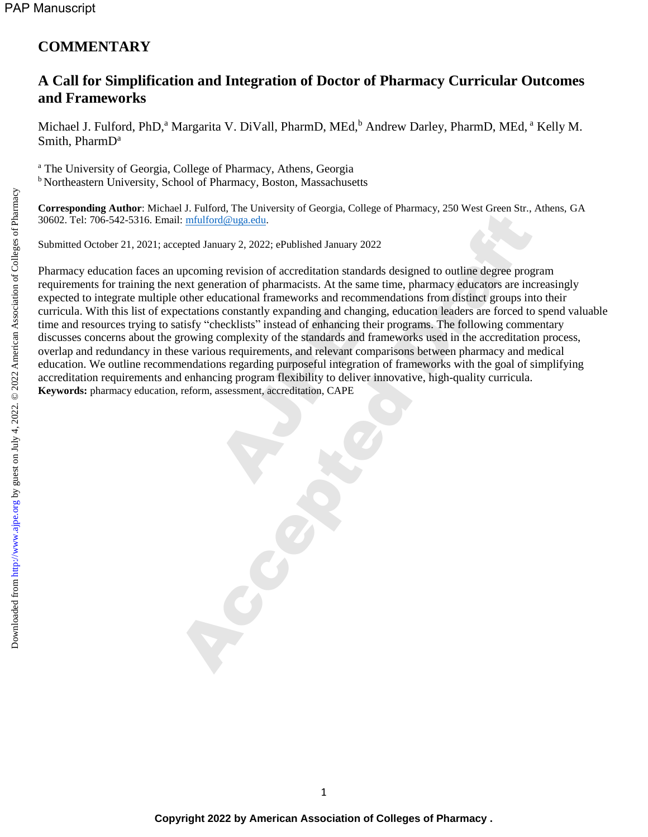## **COMMENTARY**

## **A Call for Simplification and Integration of Doctor of Pharmacy Curricular Outcomes and Frameworks**

Michael J. Fulford, PhD,<sup>a</sup> Margarita V. DiVall, PharmD, MEd,<sup>b</sup> Andrew Darley, PharmD, MEd,<sup>a</sup> Kelly M. Smith, PharmD<sup>a</sup>

<sup>a</sup> The University of Georgia, College of Pharmacy, Athens, Georgia **b** Northeastern University, School of Pharmacy, Boston, Massachusetts

**Corresponding Author**: Michael J. Fulford, The University of Georgia, College of Pharmacy, 250 West Green Str., Athens, GA 30602. Tel: 706-542-5316. Email: [mfulford@uga.edu.](mailto:mfulford@uga.edu)

Submitted October 21, 2021; accepted January 2, 2022; ePublished January 2022

Pharmacy education faces an upcoming revision of accreditation standards designed to outline degree program requirements for training the next generation of pharmacists. At the same time, pharmacy educators are increasingly expected to integrate multiple other educational frameworks and recommendations from distinct groups into their curricula. With this list of expectations constantly expanding and changing, education leaders are forced to spend valuable time and resources trying to satisfy "checklists" instead of enhancing their programs. The following commentary discusses concerns about the growing complexity of the standards and frameworks used in the accreditation process, overlap and redundancy in these various requirements, and relevant comparisons between pharmacy and medical education. We outline recommendations regarding purposeful integration of frameworks with the goal of simplifying accreditation requirements and enhancing program flexibility to deliver innovative, high-quality curricula. **Keywords:** pharmacy education, reform, assessment, accreditation, CAPE s constantly expanding and channel and channels and the<br>cklists" instead of enhancing to complexity of the standards and<br>us requirements, and relevant consequent consequently integrating program flexibility to delive<br>asses Facturing the convention of the same of the same of the same of the state of the simulation of the same time, pharmacy stock sciencial and control and the same time, pharmacy educators are interesting the control of pharma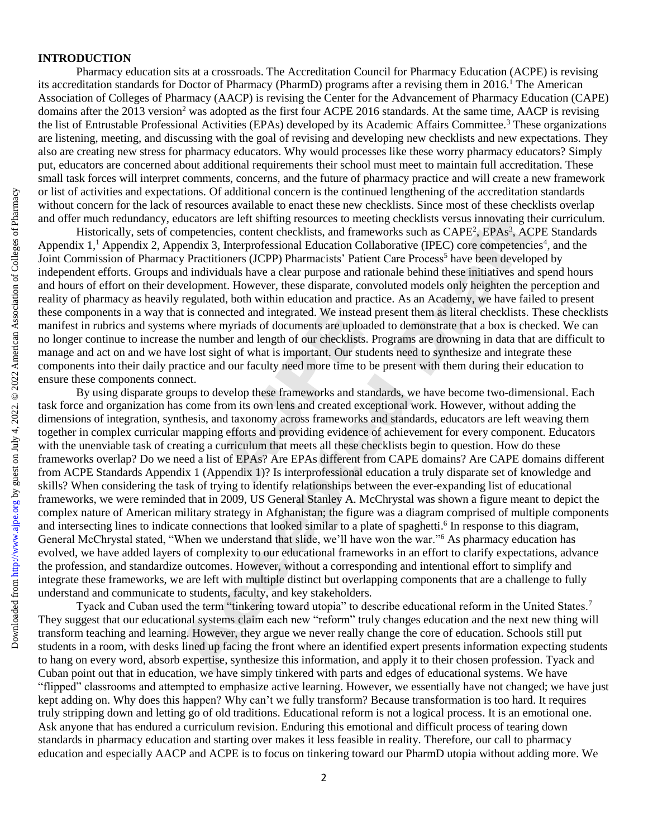## **INTRODUCTION**

Pharmacy education sits at a crossroads. The Accreditation Council for Pharmacy Education (ACPE) is revising its accreditation standards for Doctor of Pharmacy (PharmD) programs after a revising them in 2016.<sup>1</sup> The American Association of Colleges of Pharmacy (AACP) is revising the Center for the Advancement of Pharmacy Education (CAPE) domains after the 2013 version<sup>2</sup> was adopted as the first four ACPE 2016 standards. At the same time, AACP is revising the list of Entrustable Professional Activities (EPAs) developed by its Academic Affairs Committee.<sup>3</sup> These organizations are listening, meeting, and discussing with the goal of revising and developing new checklists and new expectations. They also are creating new stress for pharmacy educators. Why would processes like these worry pharmacy educators? Simply put, educators are concerned about additional requirements their school must meet to maintain full accreditation. These small task forces will interpret comments, concerns, and the future of pharmacy practice and will create a new framework or list of activities and expectations. Of additional concern is the continued lengthening of the accreditation standards without concern for the lack of resources available to enact these new checklists. Since most of these checklists overlap and offer much redundancy, educators are left shifting resources to meeting checklists versus innovating their curriculum.

Historically, sets of competencies, content checklists, and frameworks such as CAPE<sup>2</sup>, EPAs<sup>3</sup>, ACPE Standards Appendix 1,<sup>1</sup> Appendix 2, Appendix 3, Interprofessional Education Collaborative (IPEC) core competencies<sup>4</sup>, and the Joint Commission of Pharmacy Practitioners (JCPP) Pharmacists' Patient Care Process<sup>5</sup> have been developed by independent efforts. Groups and individuals have a clear purpose and rationale behind these initiatives and spend hours and hours of effort on their development. However, these disparate, convoluted models only heighten the perception and reality of pharmacy as heavily regulated, both within education and practice. As an Academy, we have failed to present these components in a way that is connected and integrated. We instead present them as literal checklists. These checklists manifest in rubrics and systems where myriads of documents are uploaded to demonstrate that a box is checked. We can no longer continue to increase the number and length of our checklists. Programs are drowning in data that are difficult to manage and act on and we have lost sight of what is important. Our students need to synthesize and integrate these components into their daily practice and our faculty need more time to be present with them during their education to ensure these components connect.

By using disparate groups to develop these frameworks and standards, we have become two-dimensional. Each task force and organization has come from its own lens and created exceptional work. However, without adding the dimensions of integration, synthesis, and taxonomy across frameworks and standards, educators are left weaving them together in complex curricular mapping efforts and providing evidence of achievement for every component. Educators with the unenviable task of creating a curriculum that meets all these checklists begin to question. How do these frameworks overlap? Do we need a list of EPAs? Are EPAs different from CAPE domains? Are CAPE domains different from ACPE Standards Appendix 1 (Appendix 1)? Is interprofessional education a truly disparate set of knowledge and skills? When considering the task of trying to identify relationships between the ever-expanding list of educational frameworks, we were reminded that in 2009, US General Stanley A. McChrystal was shown a figure meant to depict the complex nature of American military strategy in Afghanistan; the figure was a diagram comprised of multiple components and intersecting lines to indicate connections that looked similar to a plate of spaghetti.<sup>6</sup> In response to this diagram, General McChrystal stated, "When we understand that slide, we'll have won the war."<sup>6</sup> As pharmacy education has evolved, we have added layers of complexity to our educational frameworks in an effort to clarify expectations, advance the profession, and standardize outcomes. However, without a corresponding and intentional effort to simplify and integrate these frameworks, we are left with multiple distinct but overlapping components that are a challenge to fully understand and communicate to students, faculty, and key stakeholders. nected and integrated. We insteamyriads of documents are uplot<br>the and length of our checklists<br>ght of what is important. Our st<br>nd our faculty need more time to<br>levelop these frameworks and st<br>from its own lens and create 2 or lies of activities and expectations. Of additional concern is the continued englinehaling of the acceleration of the much relationships, collected and of Frement relationships. Appendix 3, appendix 3, appendix 3, app

Tyack and Cuban used the term "tinkering toward utopia" to describe educational reform in the United States.<sup>7</sup> They suggest that our educational systems claim each new "reform" truly changes education and the next new thing will transform teaching and learning. However, they argue we never really change the core of education. Schools still put students in a room, with desks lined up facing the front where an identified expert presents information expecting students to hang on every word, absorb expertise, synthesize this information, and apply it to their chosen profession. Tyack and Cuban point out that in education, we have simply tinkered with parts and edges of educational systems. We have "flipped" classrooms and attempted to emphasize active learning. However, we essentially have not changed; we have just kept adding on. Why does this happen? Why can't we fully transform? Because transformation is too hard. It requires truly stripping down and letting go of old traditions. Educational reform is not a logical process. It is an emotional one. Ask anyone that has endured a curriculum revision. Enduring this emotional and difficult process of tearing down standards in pharmacy education and starting over makes it less feasible in reality. Therefore, our call to pharmacy education and especially AACP and ACPE is to focus on tinkering toward our PharmD utopia without adding more. We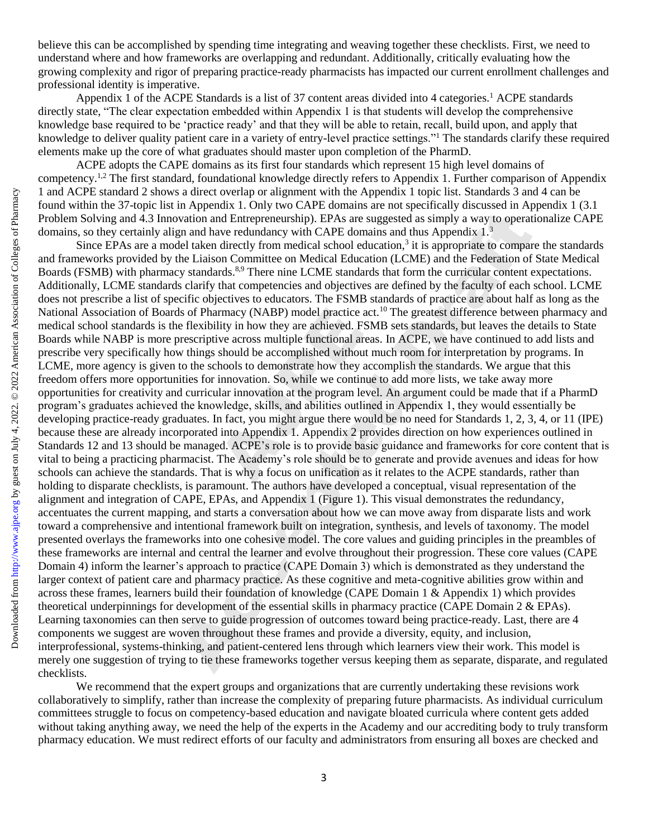believe this can be accomplished by spending time integrating and weaving together these checklists. First, we need to understand where and how frameworks are overlapping and redundant. Additionally, critically evaluating how the growing complexity and rigor of preparing practice-ready pharmacists has impacted our current enrollment challenges and professional identity is imperative.

Appendix 1 of the ACPE Standards is a list of 37 content areas divided into 4 categories.<sup>1</sup> ACPE standards directly state, "The clear expectation embedded within Appendix 1 is that students will develop the comprehensive knowledge base required to be 'practice ready' and that they will be able to retain, recall, build upon, and apply that knowledge to deliver quality patient care in a variety of entry-level practice settings."<sup>1</sup> The standards clarify these required elements make up the core of what graduates should master upon completion of the PharmD.

ACPE adopts the CAPE domains as its first four standards which represent 15 high level domains of competency.<sup>1,2</sup> The first standard, foundational knowledge directly refers to Appendix 1. Further comparison of Appendix 1 and ACPE standard 2 shows a direct overlap or alignment with the Appendix 1 topic list. Standards 3 and 4 can be found within the 37-topic list in Appendix 1. Only two CAPE domains are not specifically discussed in Appendix 1 (3.1 Problem Solving and 4.3 Innovation and Entrepreneurship). EPAs are suggested as simply a way to operationalize CAPE domains, so they certainly align and have redundancy with CAPE domains and thus Appendix 1.<sup>3</sup>

Since EPAs are a model taken directly from medical school education, $3$  it is appropriate to compare the standards and frameworks provided by the Liaison Committee on Medical Education (LCME) and the Federation of State Medical Boards (FSMB) with pharmacy standards.<sup>8,9</sup> There nine LCME standards that form the curricular content expectations. Additionally, LCME standards clarify that competencies and objectives are defined by the faculty of each school. LCME does not prescribe a list of specific objectives to educators. The FSMB standards of practice are about half as long as the National Association of Boards of Pharmacy (NABP) model practice act.<sup>10</sup> The greatest difference between pharmacy and medical school standards is the flexibility in how they are achieved. FSMB sets standards, but leaves the details to State Boards while NABP is more prescriptive across multiple functional areas. In ACPE, we have continued to add lists and prescribe very specifically how things should be accomplished without much room for interpretation by programs. In LCME, more agency is given to the schools to demonstrate how they accomplish the standards. We argue that this freedom offers more opportunities for innovation. So, while we continue to add more lists, we take away more opportunities for creativity and curricular innovation at the program level. An argument could be made that if a PharmD program's graduates achieved the knowledge, skills, and abilities outlined in Appendix 1, they would essentially be developing practice-ready graduates. In fact, you might argue there would be no need for Standards 1, 2, 3, 4, or 11 (IPE) because these are already incorporated into Appendix 1. Appendix 2 provides direction on how experiences outlined in Standards 12 and 13 should be managed. ACPE's role is to provide basic guidance and frameworks for core content that is vital to being a practicing pharmacist. The Academy's role should be to generate and provide avenues and ideas for how schools can achieve the standards. That is why a focus on unification as it relates to the ACPE standards, rather than holding to disparate checklists, is paramount. The authors have developed a conceptual, visual representation of the alignment and integration of CAPE, EPAs, and Appendix 1 (Figure 1). This visual demonstrates the redundancy, accentuates the current mapping, and starts a conversation about how we can move away from disparate lists and work toward a comprehensive and intentional framework built on integration, synthesis, and levels of taxonomy. The model presented overlays the frameworks into one cohesive model. The core values and guiding principles in the preambles of these frameworks are internal and central the learner and evolve throughout their progression. These core values (CAPE Domain 4) inform the learner's approach to practice (CAPE Domain 3) which is demonstrated as they understand the larger context of patient care and pharmacy practice. As these cognitive and meta-cognitive abilities grow within and across these frames, learners build their foundation of knowledge (CAPE Domain 1 & Appendix 1) which provides theoretical underpinnings for development of the essential skills in pharmacy practice (CAPE Domain 2 & EPAs). Learning taxonomies can then serve to guide progression of outcomes toward being practice-ready. Last, there are 4 components we suggest are woven throughout these frames and provide a diversity, equity, and inclusion, interprofessional, systems-thinking, and patient-centered lens through which learners view their work. This model is merely one suggestion of trying to tie these frameworks together versus keeping them as separate, disparate, and regulated checklists. National Association of Boards of Pharmacy (NABP) model paractics at: "The greuted difference between pharmacy hands while NABP is none-propint while NABP is none-propint while NABP is none-propertient with SM and Nation S and ACEE standard 3 about and the appearing with the Appearing Liopic List. Standards 3 amely controlling and American and Enterpreneurship). EPAS are suggested as simply a way to operating a from the standard and Enterpr

We recommend that the expert groups and organizations that are currently undertaking these revisions work collaboratively to simplify, rather than increase the complexity of preparing future pharmacists. As individual curriculum committees struggle to focus on competency-based education and navigate bloated curricula where content gets added without taking anything away, we need the help of the experts in the Academy and our accrediting body to truly transform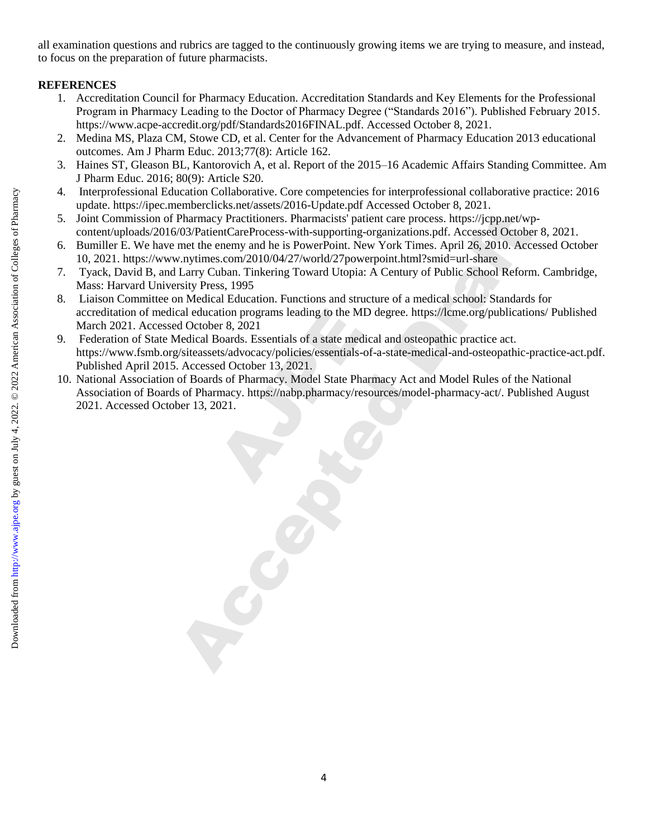all examination questions and rubrics are tagged to the continuously growing items we are trying to measure, and instead, to focus on the preparation of future pharmacists.

## **REFERENCES**

- 1. Accreditation Council for Pharmacy Education. Accreditation Standards and Key Elements for the Professional Program in Pharmacy Leading to the Doctor of Pharmacy Degree ("Standards 2016"). Published February 2015. https://www.acpe-accredit.org/pdf/Standards2016FINAL.pdf. Accessed October 8, 2021.
- 2. Medina MS, Plaza CM, Stowe CD, et al. Center for the Advancement of Pharmacy Education 2013 educational outcomes. Am J Pharm Educ. 2013;77(8): Article 162.
- 3. Haines ST, Gleason BL, Kantorovich A, et al. Report of the 2015–16 Academic Affairs Standing Committee. Am J Pharm Educ. 2016; 80(9): Article S20.
- 4. Interprofessional Education Collaborative. Core competencies for interprofessional collaborative practice: 2016 update. https://ipec.memberclicks.net/assets/2016-Update.pdf Accessed October 8, 2021.
- 5. Joint Commission of Pharmacy Practitioners. Pharmacists' patient care process. https://jcpp.net/wpcontent/uploads/2016/03/PatientCareProcess-with-supporting-organizations.pdf. Accessed October 8, 2021.
- 6. Bumiller E. We have met the enemy and he is PowerPoint. New York Times. April 26, 2010. Accessed October 10, 2021. https://www.nytimes.com/2010/04/27/world/27powerpoint.html?smid=url-share
- 7. Tyack, David B, and Larry Cuban. Tinkering Toward Utopia: A Century of Public School Reform. Cambridge, Mass: Harvard University Press, 1995
- 8. Liaison Committee on Medical Education. Functions and structure of a medical school: Standards for accreditation of medical education programs leading to the MD degree. https://lcme.org/publications/ Published March 2021. Accessed October 8, 2021 4. Interpretes Draft by Guestical Colleges of Dramacy Francuesco Competence is for interpretes on American American American American American American American American American American American American American America
	- 9. Federation of State Medical Boards. Essentials of a state medical and osteopathic practice act. https://www.fsmb.org/siteassets/advocacy/policies/essentials-of-a-state-medical-and-osteopathic-practice-act.pdf. Published April 2015. Accessed October 13, 2021.
	- 10. National Association of Boards of Pharmacy. Model State Pharmacy Act and Model Rules of the National Association of Boards of Pharmacy. https://nabp.pharmacy/resources/model-pharmacy-act/. Published August 2021. Accessed October 13, 2021. ation programs leading to the M<br>
	Search Search Search Search Search Search<br>
	Search Search Search Search<br>
	Alts/advocacy/policies/essentials-<br>
	Expedition Search Search<br>
	Search Search<br>
	Search Search<br>
	Search Search<br>
	Search Sea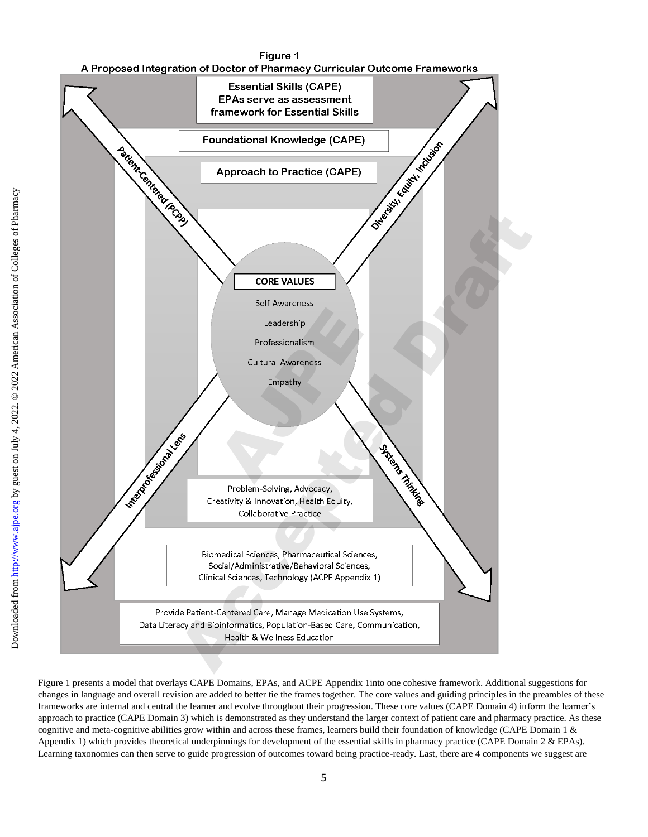

Figure 1 presents a model that overlays CAPE Domains, EPAs, and ACPE Appendix 1into one cohesive framework. Additional suggestions for changes in language and overall revision are added to better tie the frames together. The core values and guiding principles in the preambles of these frameworks are internal and central the learner and evolve throughout their progression. These core values (CAPE Domain 4) inform the learner's approach to practice (CAPE Domain 3) which is demonstrated as they understand the larger context of patient care and pharmacy practice. As these cognitive and meta-cognitive abilities grow within and across these frames, learners build their foundation of knowledge (CAPE Domain 1 & Appendix 1) which provides theoretical underpinnings for development of the essential skills in pharmacy practice (CAPE Domain 2 & EPAs). Learning taxonomies can then serve to guide progression of outcomes toward being practice-ready. Last, there are 4 components we suggest are